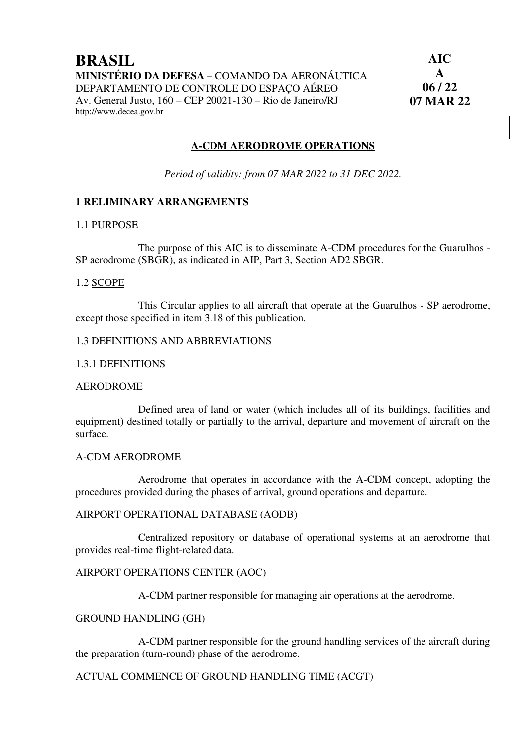#### **A-CDM AERODROME OPERATIONS**

*Period of validity: from 07 MAR 2022 to 31 DEC 2022.* 

#### **1 RELIMINARY ARRANGEMENTS**

#### 1.1 PURPOSE

The purpose of this AIC is to disseminate A-CDM procedures for the Guarulhos - SP aerodrome (SBGR), as indicated in AIP, Part 3, Section AD2 SBGR.

#### 1.2 SCOPE

This Circular applies to all aircraft that operate at the Guarulhos - SP aerodrome, except those specified in item 3.18 of this publication.

#### 1.3 DEFINITIONS AND ABBREVIATIONS

#### 1.3.1 DEFINITIONS

#### AERODROME

Defined area of land or water (which includes all of its buildings, facilities and equipment) destined totally or partially to the arrival, departure and movement of aircraft on the surface.

#### A-CDM AERODROME

Aerodrome that operates in accordance with the A-CDM concept, adopting the procedures provided during the phases of arrival, ground operations and departure.

#### AIRPORT OPERATIONAL DATABASE (AODB)

Centralized repository or database of operational systems at an aerodrome that provides real-time flight-related data.

#### AIRPORT OPERATIONS CENTER (AOC)

A-CDM partner responsible for managing air operations at the aerodrome.

#### GROUND HANDLING (GH)

A-CDM partner responsible for the ground handling services of the aircraft during the preparation (turn-round) phase of the aerodrome.

#### ACTUAL COMMENCE OF GROUND HANDLING TIME (ACGT)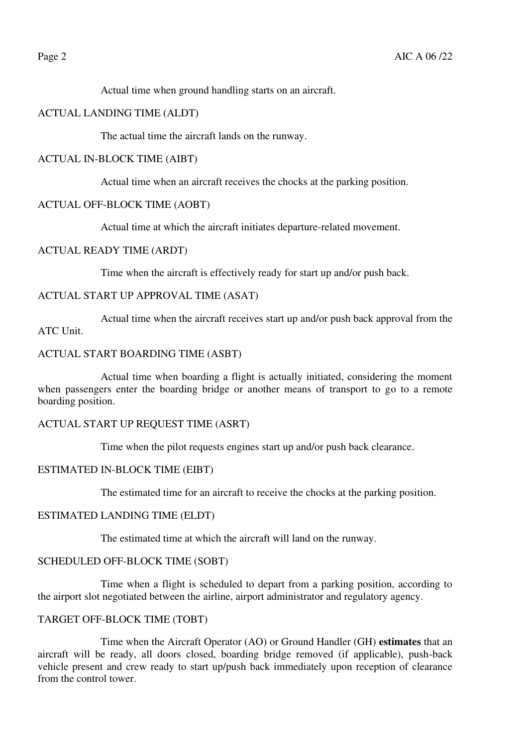Actual time when ground handling starts on an aircraft.

#### ACTUAL LANDING TIME (ALDT)

The actual time the aircraft lands on the runway.

#### ACTUAL IN-BLOCK TIME (AIBT)

Actual time when an aircraft receives the chocks at the parking position.

#### ACTUAL OFF-BLOCK TIME (AOBT)

Actual time at which the aircraft initiates departure-related movement.

#### ACTUAL READY TIME (ARDT)

Time when the aircraft is effectively ready for start up and/or push back.

#### ACTUAL START UP APPROVAL TIME (ASAT)

Actual time when the aircraft receives start up and/or push back approval from the ATC Unit.

#### ACTUAL START BOARDING TIME (ASBT)

Actual time when boarding a flight is actually initiated, considering the moment when passengers enter the boarding bridge or another means of transport to go to a remote boarding position.

#### ACTUAL START UP REQUEST TIME (ASRT)

Time when the pilot requests engines start up and/or push back clearance.

#### ESTIMATED IN-BLOCK TIME (EIBT)

The estimated time for an aircraft to receive the chocks at the parking position.

#### ESTIMATED LANDING TIME (ELDT)

The estimated time at which the aircraft will land on the runway.

### SCHEDULED OFF-BLOCK TIME (SOBT)

Time when a flight is scheduled to depart from a parking position, according to the airport slot negotiated between the airline, airport administrator and regulatory agency.

#### TARGET OFF-BLOCK TIME (TOBT)

Time when the Aircraft Operator (AO) or Ground Handler (GH) **estimates** that an aircraft will be ready, all doors closed, boarding bridge removed (if applicable), push-back vehicle present and crew ready to start up/push back immediately upon reception of clearance from the control tower.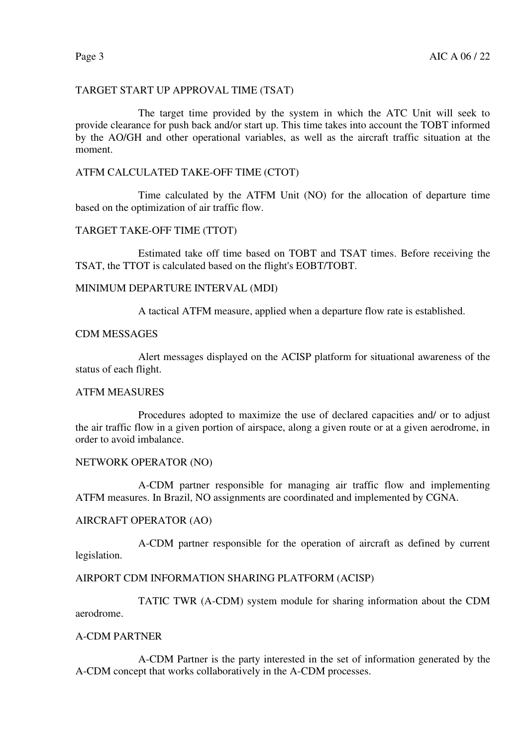# TARGET START UP APPROVAL TIME (TSAT)

The target time provided by the system in which the ATC Unit will seek to provide clearance for push back and/or start up. This time takes into account the TOBT informed by the AO/GH and other operational variables, as well as the aircraft traffic situation at the moment.

#### ATFM CALCULATED TAKE-OFF TIME (CTOT)

Time calculated by the ATFM Unit (NO) for the allocation of departure time based on the optimization of air traffic flow.

#### TARGET TAKE-OFF TIME (TTOT)

Estimated take off time based on TOBT and TSAT times. Before receiving the TSAT, the TTOT is calculated based on the flight's EOBT/TOBT.

#### MINIMUM DEPARTURE INTERVAL (MDI)

A tactical ATFM measure, applied when a departure flow rate is established.

#### CDM MESSAGES

Alert messages displayed on the ACISP platform for situational awareness of the status of each flight.

#### ATFM MEASURES

Procedures adopted to maximize the use of declared capacities and/ or to adjust the air traffic flow in a given portion of airspace, along a given route or at a given aerodrome, in order to avoid imbalance.

#### NETWORK OPERATOR (NO)

A-CDM partner responsible for managing air traffic flow and implementing ATFM measures. In Brazil, NO assignments are coordinated and implemented by CGNA.

#### AIRCRAFT OPERATOR (AO)

A-CDM partner responsible for the operation of aircraft as defined by current legislation.

#### AIRPORT CDM INFORMATION SHARING PLATFORM (ACISP)

TATIC TWR (A-CDM) system module for sharing information about the CDM aerodrome.

#### A-CDM PARTNER

A-CDM Partner is the party interested in the set of information generated by the A-CDM concept that works collaboratively in the A-CDM processes.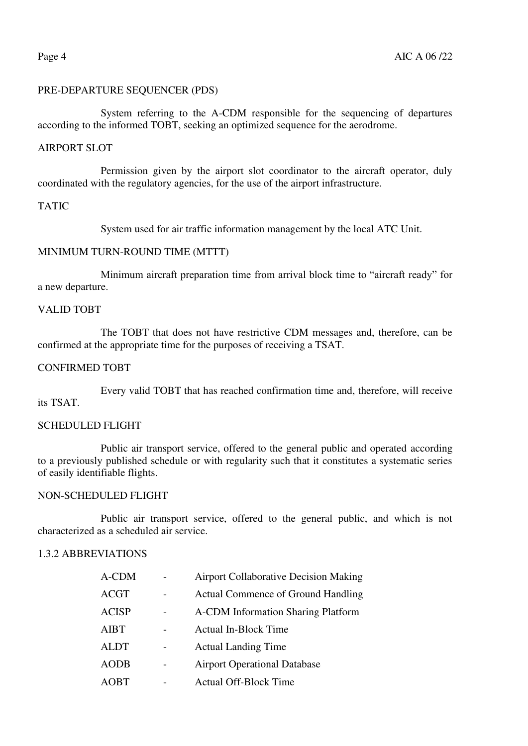### PRE-DEPARTURE SEQUENCER (PDS)

System referring to the A-CDM responsible for the sequencing of departures according to the informed TOBT, seeking an optimized sequence for the aerodrome.

#### AIRPORT SLOT

Permission given by the airport slot coordinator to the aircraft operator, duly coordinated with the regulatory agencies, for the use of the airport infrastructure.

#### TATIC

System used for air traffic information management by the local ATC Unit.

### MINIMUM TURN-ROUND TIME (MTTT)

Minimum aircraft preparation time from arrival block time to "aircraft ready" for a new departure.

#### VALID TOBT

The TOBT that does not have restrictive CDM messages and, therefore, can be confirmed at the appropriate time for the purposes of receiving a TSAT.

#### CONFIRMED TOBT

Every valid TOBT that has reached confirmation time and, therefore, will receive its TSAT.

#### SCHEDULED FLIGHT

Public air transport service, offered to the general public and operated according to a previously published schedule or with regularity such that it constitutes a systematic series of easily identifiable flights.

#### NON-SCHEDULED FLIGHT

Public air transport service, offered to the general public, and which is not characterized as a scheduled air service.

### 1.3.2 ABBREVIATIONS

| A-CDM        | <b>Airport Collaborative Decision Making</b> |
|--------------|----------------------------------------------|
| ACGT         | <b>Actual Commence of Ground Handling</b>    |
| <b>ACISP</b> | <b>A-CDM</b> Information Sharing Platform    |
| AIBT         | <b>Actual In-Block Time</b>                  |
| <b>ALDT</b>  | <b>Actual Landing Time</b>                   |
| AODB         | <b>Airport Operational Database</b>          |
| AOBT         | <b>Actual Off-Block Time</b>                 |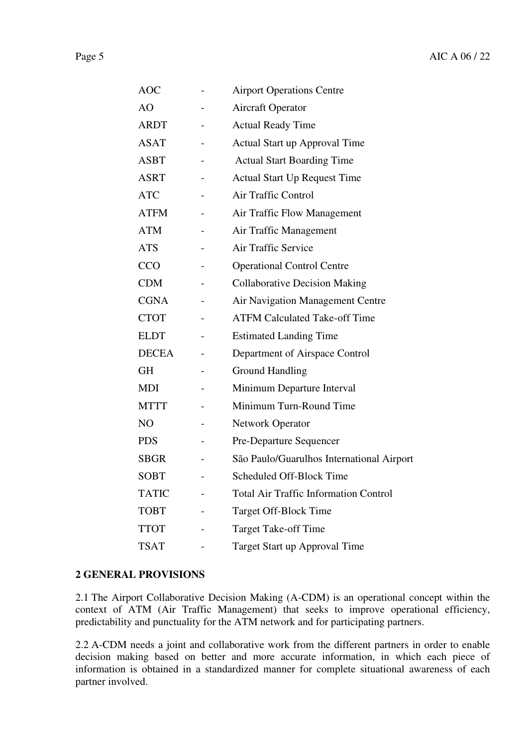|--|--|--|

| <b>AOC</b>   | <b>Airport Operations Centre</b>             |
|--------------|----------------------------------------------|
| AO           | <b>Aircraft Operator</b>                     |
| <b>ARDT</b>  | <b>Actual Ready Time</b>                     |
| <b>ASAT</b>  | Actual Start up Approval Time                |
| <b>ASBT</b>  | <b>Actual Start Boarding Time</b>            |
| <b>ASRT</b>  | <b>Actual Start Up Request Time</b>          |
| <b>ATC</b>   | Air Traffic Control                          |
| <b>ATFM</b>  | Air Traffic Flow Management                  |
| <b>ATM</b>   | Air Traffic Management                       |
| <b>ATS</b>   | Air Traffic Service                          |
| <b>CCO</b>   | <b>Operational Control Centre</b>            |
| <b>CDM</b>   | <b>Collaborative Decision Making</b>         |
| <b>CGNA</b>  | <b>Air Navigation Management Centre</b>      |
| <b>CTOT</b>  | <b>ATFM Calculated Take-off Time</b>         |
| <b>ELDT</b>  | <b>Estimated Landing Time</b>                |
| <b>DECEA</b> | Department of Airspace Control               |
| <b>GH</b>    | <b>Ground Handling</b>                       |
| <b>MDI</b>   | Minimum Departure Interval                   |
| <b>MTTT</b>  | Minimum Turn-Round Time                      |
| NO           | <b>Network Operator</b>                      |
| <b>PDS</b>   | Pre-Departure Sequencer                      |
| <b>SBGR</b>  | São Paulo/Guarulhos International Airport    |
| <b>SOBT</b>  | Scheduled Off-Block Time                     |
| <b>TATIC</b> | <b>Total Air Traffic Information Control</b> |
| <b>TOBT</b>  | Target Off-Block Time                        |
| <b>TTOT</b>  | <b>Target Take-off Time</b>                  |
| <b>TSAT</b>  | Target Start up Approval Time                |

### **2 GENERAL PROVISIONS**

2.1 The Airport Collaborative Decision Making (A-CDM) is an operational concept within the context of ATM (Air Traffic Management) that seeks to improve operational efficiency, predictability and punctuality for the ATM network and for participating partners.

2.2 A-CDM needs a joint and collaborative work from the different partners in order to enable decision making based on better and more accurate information, in which each piece of information is obtained in a standardized manner for complete situational awareness of each partner involved.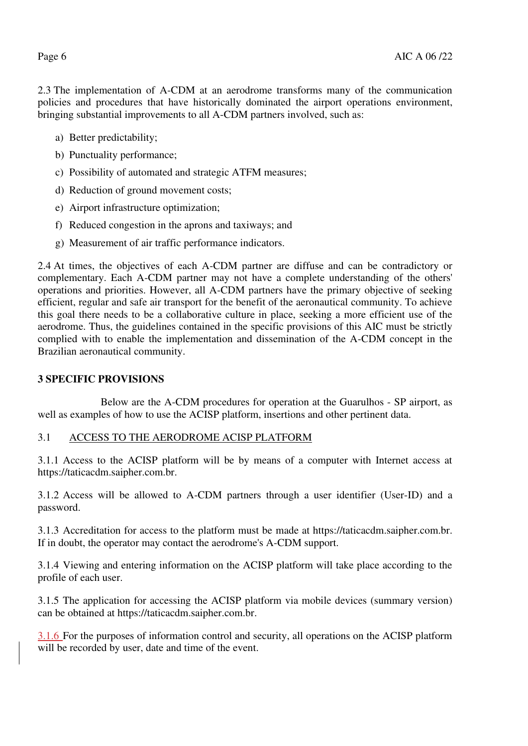2.3 The implementation of A-CDM at an aerodrome transforms many of the communication policies and procedures that have historically dominated the airport operations environment, bringing substantial improvements to all A-CDM partners involved, such as:

- a) Better predictability;
- b) Punctuality performance;
- c) Possibility of automated and strategic ATFM measures;
- d) Reduction of ground movement costs;
- e) Airport infrastructure optimization;
- f) Reduced congestion in the aprons and taxiways; and
- g) Measurement of air traffic performance indicators.

2.4 At times, the objectives of each A-CDM partner are diffuse and can be contradictory or complementary. Each A-CDM partner may not have a complete understanding of the others' operations and priorities. However, all A-CDM partners have the primary objective of seeking efficient, regular and safe air transport for the benefit of the aeronautical community. To achieve this goal there needs to be a collaborative culture in place, seeking a more efficient use of the aerodrome. Thus, the guidelines contained in the specific provisions of this AIC must be strictly complied with to enable the implementation and dissemination of the A-CDM concept in the Brazilian aeronautical community.

### **3 SPECIFIC PROVISIONS**

Below are the A-CDM procedures for operation at the Guarulhos - SP airport, as well as examples of how to use the ACISP platform, insertions and other pertinent data.

### 3.1 ACCESS TO THE AERODROME ACISP PLATFORM

3.1.1 Access to the ACISP platform will be by means of a computer with Internet access at https://taticacdm.saipher.com.br.

3.1.2 Access will be allowed to A-CDM partners through a user identifier (User-ID) and a password.

3.1.3 Accreditation for access to the platform must be made at https://taticacdm.saipher.com.br. If in doubt, the operator may contact the aerodrome's A-CDM support.

3.1.4 Viewing and entering information on the ACISP platform will take place according to the profile of each user.

3.1.5 The application for accessing the ACISP platform via mobile devices (summary version) can be obtained at https://taticacdm.saipher.com.br.

3.1.6 For the purposes of information control and security, all operations on the ACISP platform will be recorded by user, date and time of the event.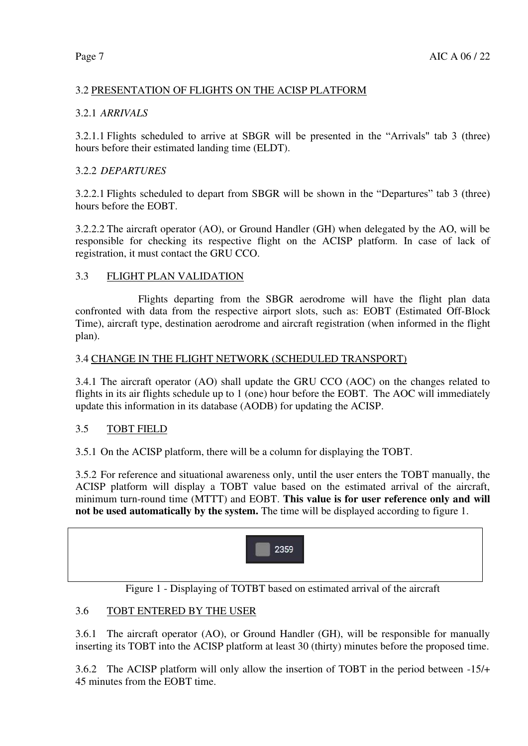# 3.2 PRESENTATION OF FLIGHTS ON THE ACISP PLATFORM

# 3.2.1 *ARRIVALS*

3.2.1.1 Flights scheduled to arrive at SBGR will be presented in the "Arrivals" tab 3 (three) hours before their estimated landing time (ELDT).

# 3.2.2 *DEPARTURES*

3.2.2.1 Flights scheduled to depart from SBGR will be shown in the "Departures" tab 3 (three) hours before the EOBT.

3.2.2.2 The aircraft operator (AO), or Ground Handler (GH) when delegated by the AO, will be responsible for checking its respective flight on the ACISP platform. In case of lack of registration, it must contact the GRU CCO.

# 3.3 FLIGHT PLAN VALIDATION

Flights departing from the SBGR aerodrome will have the flight plan data confronted with data from the respective airport slots, such as: EOBT (Estimated Off-Block Time), aircraft type, destination aerodrome and aircraft registration (when informed in the flight plan).

### 3.4 CHANGE IN THE FLIGHT NETWORK (SCHEDULED TRANSPORT)

3.4.1 The aircraft operator (AO) shall update the GRU CCO (AOC) on the changes related to flights in its air flights schedule up to 1 (one) hour before the EOBT. The AOC will immediately update this information in its database (AODB) for updating the ACISP.

### 3.5 TOBT FIELD

3.5.1 On the ACISP platform, there will be a column for displaying the TOBT.

3.5.2 For reference and situational awareness only, until the user enters the TOBT manually, the ACISP platform will display a TOBT value based on the estimated arrival of the aircraft, minimum turn-round time (MTTT) and EOBT. **This value is for user reference only and will not be used automatically by the system.** The time will be displayed according to figure 1.



Figure 1 - Displaying of TOTBT based on estimated arrival of the aircraft

# 3.6 TOBT ENTERED BY THE USER

3.6.1 The aircraft operator (AO), or Ground Handler (GH), will be responsible for manually inserting its TOBT into the ACISP platform at least 30 (thirty) minutes before the proposed time.

3.6.2 The ACISP platform will only allow the insertion of TOBT in the period between -15/+ 45 minutes from the EOBT time.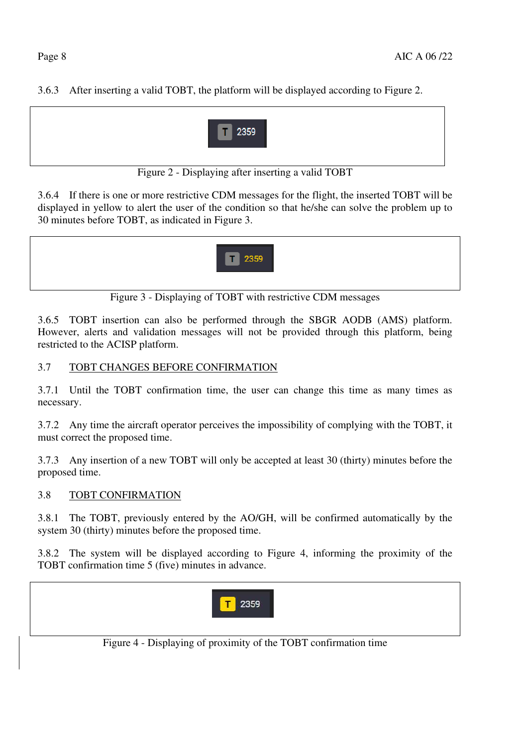3.6.3 After inserting a valid TOBT, the platform will be displayed according to Figure 2.



Figure 2 - Displaying after inserting a valid TOBT

3.6.4 If there is one or more restrictive CDM messages for the flight, the inserted TOBT will be displayed in yellow to alert the user of the condition so that he/she can solve the problem up to 30 minutes before TOBT, as indicated in Figure 3.



Figure 3 - Displaying of TOBT with restrictive CDM messages

3.6.5 TOBT insertion can also be performed through the SBGR AODB (AMS) platform. However, alerts and validation messages will not be provided through this platform, being restricted to the ACISP platform.

# 3.7 TOBT CHANGES BEFORE CONFIRMATION

3.7.1 Until the TOBT confirmation time, the user can change this time as many times as necessary.

3.7.2 Any time the aircraft operator perceives the impossibility of complying with the TOBT, it must correct the proposed time.

3.7.3 Any insertion of a new TOBT will only be accepted at least 30 (thirty) minutes before the proposed time.

# 3.8 TOBT CONFIRMATION

3.8.1 The TOBT, previously entered by the AO/GH, will be confirmed automatically by the system 30 (thirty) minutes before the proposed time.

3.8.2 The system will be displayed according to Figure 4, informing the proximity of the TOBT confirmation time 5 (five) minutes in advance.



Figure 4 - Displaying of proximity of the TOBT confirmation time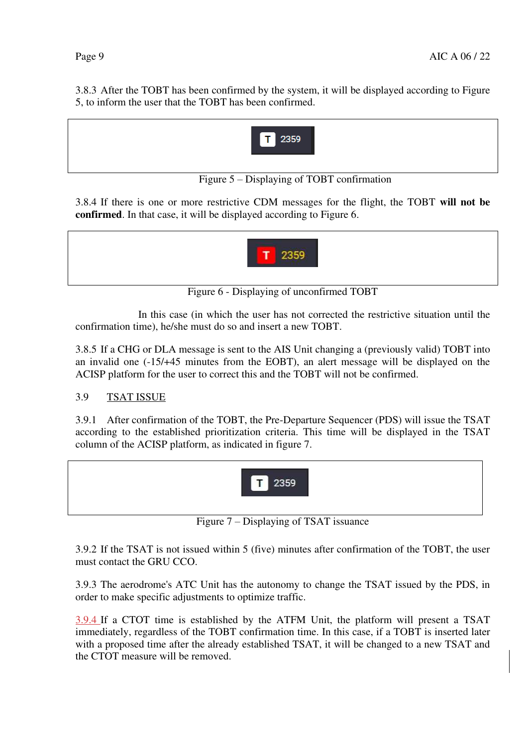3.8.3 After the TOBT has been confirmed by the system, it will be displayed according to Figure 5, to inform the user that the TOBT has been confirmed.



Figure 5 – Displaying of TOBT confirmation

3.8.4 If there is one or more restrictive CDM messages for the flight, the TOBT **will not be confirmed**. In that case, it will be displayed according to Figure 6.



Figure 6 - Displaying of unconfirmed TOBT

In this case (in which the user has not corrected the restrictive situation until the confirmation time), he/she must do so and insert a new TOBT.

3.8.5 If a CHG or DLA message is sent to the AIS Unit changing a (previously valid) TOBT into an invalid one (-15/+45 minutes from the EOBT), an alert message will be displayed on the ACISP platform for the user to correct this and the TOBT will not be confirmed.

# 3.9 TSAT ISSUE

3.9.1 After confirmation of the TOBT, the Pre-Departure Sequencer (PDS) will issue the TSAT according to the established prioritization criteria. This time will be displayed in the TSAT column of the ACISP platform, as indicated in figure 7.



Figure 7 – Displaying of TSAT issuance

3.9.2 If the TSAT is not issued within 5 (five) minutes after confirmation of the TOBT, the user must contact the GRU CCO.

3.9.3 The aerodrome's ATC Unit has the autonomy to change the TSAT issued by the PDS, in order to make specific adjustments to optimize traffic.

3.9.4 If a CTOT time is established by the ATFM Unit, the platform will present a TSAT immediately, regardless of the TOBT confirmation time. In this case, if a TOBT is inserted later with a proposed time after the already established TSAT, it will be changed to a new TSAT and the CTOT measure will be removed.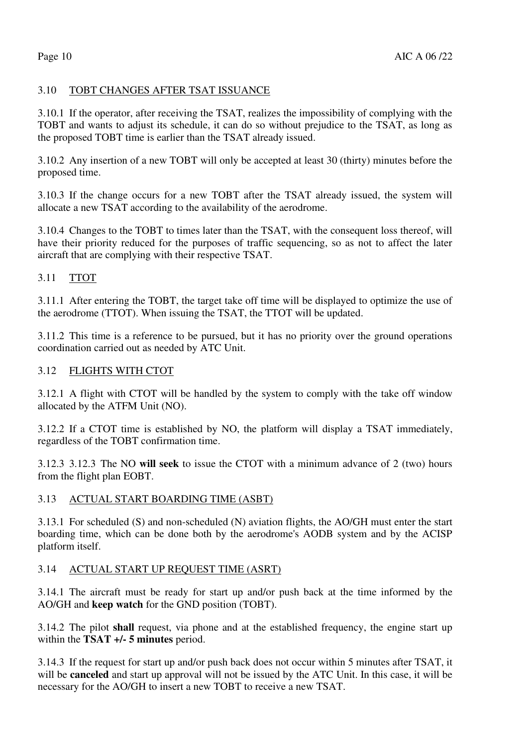### 3.10 TOBT CHANGES AFTER TSAT ISSUANCE

3.10.1 If the operator, after receiving the TSAT, realizes the impossibility of complying with the TOBT and wants to adjust its schedule, it can do so without prejudice to the TSAT, as long as the proposed TOBT time is earlier than the TSAT already issued.

3.10.2 Any insertion of a new TOBT will only be accepted at least 30 (thirty) minutes before the proposed time.

3.10.3 If the change occurs for a new TOBT after the TSAT already issued, the system will allocate a new TSAT according to the availability of the aerodrome.

3.10.4 Changes to the TOBT to times later than the TSAT, with the consequent loss thereof, will have their priority reduced for the purposes of traffic sequencing, so as not to affect the later aircraft that are complying with their respective TSAT.

#### 3.11 TTOT

3.11.1 After entering the TOBT, the target take off time will be displayed to optimize the use of the aerodrome (TTOT). When issuing the TSAT, the TTOT will be updated.

3.11.2 This time is a reference to be pursued, but it has no priority over the ground operations coordination carried out as needed by ATC Unit.

#### 3.12 FLIGHTS WITH CTOT

3.12.1 A flight with CTOT will be handled by the system to comply with the take off window allocated by the ATFM Unit (NO).

3.12.2 If a CTOT time is established by NO, the platform will display a TSAT immediately, regardless of the TOBT confirmation time.

3.12.3 3.12.3 The NO **will seek** to issue the CTOT with a minimum advance of 2 (two) hours from the flight plan EOBT.

#### 3.13 ACTUAL START BOARDING TIME (ASBT)

3.13.1 For scheduled (S) and non-scheduled (N) aviation flights, the AO/GH must enter the start boarding time, which can be done both by the aerodrome's AODB system and by the ACISP platform itself.

### 3.14 ACTUAL START UP REQUEST TIME (ASRT)

3.14.1 The aircraft must be ready for start up and/or push back at the time informed by the AO/GH and **keep watch** for the GND position (TOBT).

3.14.2 The pilot **shall** request, via phone and at the established frequency, the engine start up within the **TSAT +/- 5 minutes** period.

3.14.3 If the request for start up and/or push back does not occur within 5 minutes after TSAT, it will be **canceled** and start up approval will not be issued by the ATC Unit. In this case, it will be necessary for the AO/GH to insert a new TOBT to receive a new TSAT.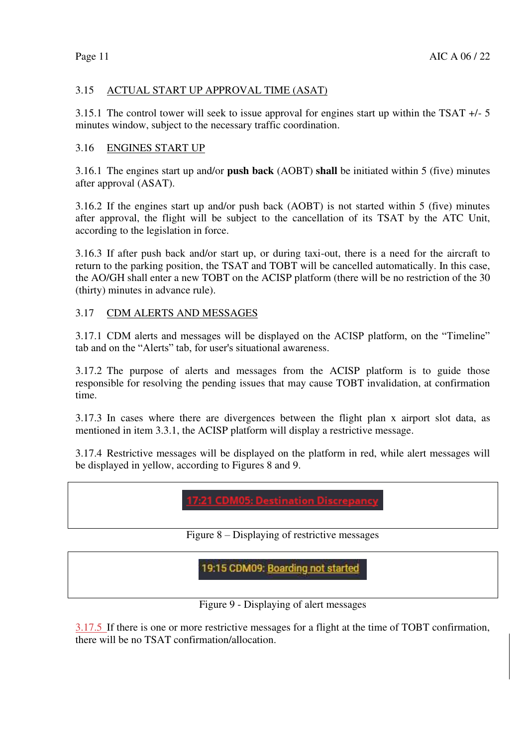# 3.15 ACTUAL START UP APPROVAL TIME (ASAT)

3.15.1 The control tower will seek to issue approval for engines start up within the TSAT +/- 5 minutes window, subject to the necessary traffic coordination.

# 3.16 ENGINES START UP

3.16.1 The engines start up and/or **push back** (AOBT) **shall** be initiated within 5 (five) minutes after approval (ASAT).

3.16.2 If the engines start up and/or push back (AOBT) is not started within 5 (five) minutes after approval, the flight will be subject to the cancellation of its TSAT by the ATC Unit, according to the legislation in force.

3.16.3 If after push back and/or start up, or during taxi-out, there is a need for the aircraft to return to the parking position, the TSAT and TOBT will be cancelled automatically. In this case, the AO/GH shall enter a new TOBT on the ACISP platform (there will be no restriction of the 30 (thirty) minutes in advance rule).

# 3.17 CDM ALERTS AND MESSAGES

3.17.1 CDM alerts and messages will be displayed on the ACISP platform, on the "Timeline" tab and on the "Alerts" tab, for user's situational awareness.

3.17.2 The purpose of alerts and messages from the ACISP platform is to guide those responsible for resolving the pending issues that may cause TOBT invalidation, at confirmation time.

3.17.3 In cases where there are divergences between the flight plan x airport slot data, as mentioned in item 3.3.1, the ACISP platform will display a restrictive message.

3.17.4 Restrictive messages will be displayed on the platform in red, while alert messages will be displayed in yellow, according to Figures 8 and 9.

Figure 8 – Displaying of restrictive messages

19:15 CDM09: Boarding not started

Figure 9 - Displaying of alert messages

3.17.5 If there is one or more restrictive messages for a flight at the time of TOBT confirmation, there will be no TSAT confirmation/allocation.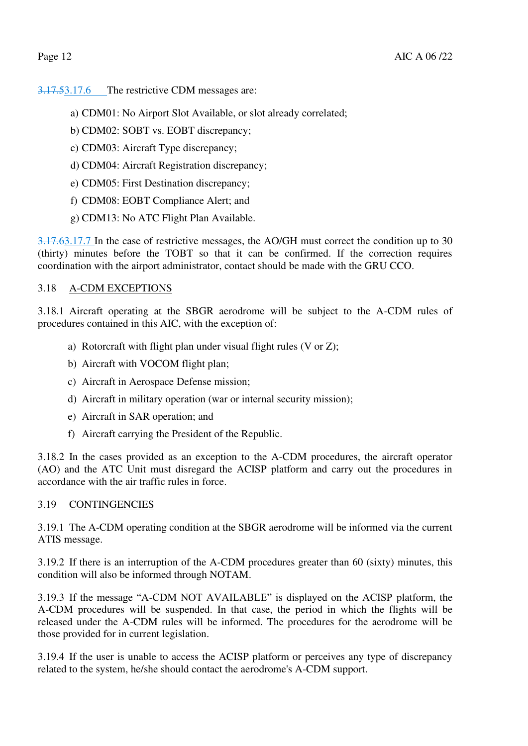3.17.53.17.6 The restrictive CDM messages are:

- a) CDM01: No Airport Slot Available, or slot already correlated;
- b) CDM02: SOBT vs. EOBT discrepancy;
- c) CDM03: Aircraft Type discrepancy;
- d) CDM04: Aircraft Registration discrepancy;
- e) CDM05: First Destination discrepancy;
- f) CDM08: EOBT Compliance Alert; and
- g) CDM13: No ATC Flight Plan Available.

3.17.63.17.7 In the case of restrictive messages, the AO/GH must correct the condition up to 30 (thirty) minutes before the TOBT so that it can be confirmed. If the correction requires coordination with the airport administrator, contact should be made with the GRU CCO.

### 3.18 A-CDM EXCEPTIONS

3.18.1 Aircraft operating at the SBGR aerodrome will be subject to the A-CDM rules of procedures contained in this AIC, with the exception of:

- a) Rotorcraft with flight plan under visual flight rules (V or Z);
- b) Aircraft with VOCOM flight plan;
- c) Aircraft in Aerospace Defense mission;
- d) Aircraft in military operation (war or internal security mission);
- e) Aircraft in SAR operation; and
- f) Aircraft carrying the President of the Republic.

3.18.2 In the cases provided as an exception to the A-CDM procedures, the aircraft operator (AO) and the ATC Unit must disregard the ACISP platform and carry out the procedures in accordance with the air traffic rules in force.

### 3.19 CONTINGENCIES

3.19.1 The A-CDM operating condition at the SBGR aerodrome will be informed via the current ATIS message.

3.19.2 If there is an interruption of the A-CDM procedures greater than 60 (sixty) minutes, this condition will also be informed through NOTAM.

3.19.3 If the message "A-CDM NOT AVAILABLE" is displayed on the ACISP platform, the A-CDM procedures will be suspended. In that case, the period in which the flights will be released under the A-CDM rules will be informed. The procedures for the aerodrome will be those provided for in current legislation.

3.19.4 If the user is unable to access the ACISP platform or perceives any type of discrepancy related to the system, he/she should contact the aerodrome's A-CDM support.